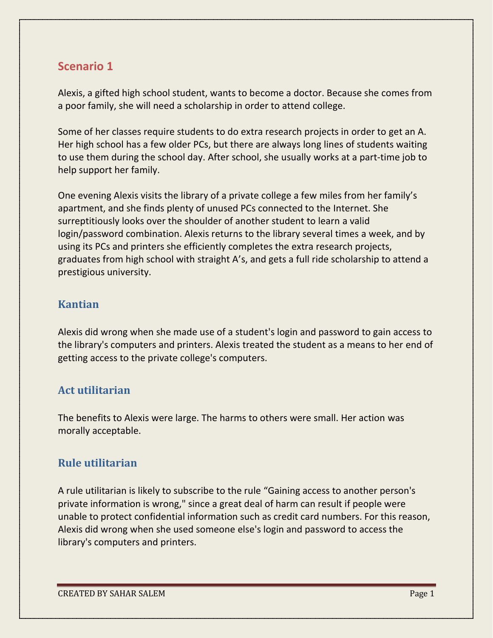# **Scenario 1**

Alexis, a gifted high school student, wants to become a doctor. Because she comes from a poor family, she will need a scholarship in order to attend college.

Some of her classes require students to do extra research projects in order to get an A. Her high school has a few older PCs, but there are always long lines of students waiting to use them during the school day. After school, she usually works at a part-time job to help support her family.

One evening Alexis visits the library of a private college a few miles from her family's apartment, and she finds plenty of unused PCs connected to the Internet. She surreptitiously looks over the shoulder of another student to learn a valid login/password combination. Alexis returns to the library several times a week, and by using its PCs and printers she efficiently completes the extra research projects, graduates from high school with straight A's, and gets a full ride scholarship to attend a prestigious university.

### **Kantian**

Alexis did wrong when she made use of a student's login and password to gain access to the library's computers and printers. Alexis treated the student as a means to her end of getting access to the private college's computers.

## **Act utilitarian**

The benefits to Alexis were large. The harms to others were small. Her action was morally acceptable.

## **Rule utilitarian**

A rule utilitarian is likely to subscribe to the rule "Gaining access to another person's private information is wrong," since a great deal of harm can result if people were unable to protect confidential information such as credit card numbers. For this reason, Alexis did wrong when she used someone else's login and password to access the library's computers and printers.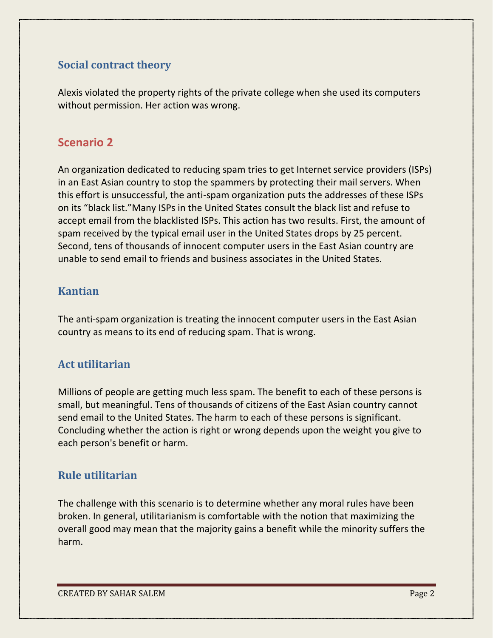### **Social contract theory**

Alexis violated the property rights of the private college when she used its computers without permission. Her action was wrong.

# **Scenario 2**

An organization dedicated to reducing spam tries to get Internet service providers (ISPs) in an East Asian country to stop the spammers by protecting their mail servers. When this effort is unsuccessful, the anti-spam organization puts the addresses of these ISPs on its "black list."Many ISPs in the United States consult the black list and refuse to accept email from the blacklisted ISPs. This action has two results. First, the amount of spam received by the typical email user in the United States drops by 25 percent. Second, tens of thousands of innocent computer users in the East Asian country are unable to send email to friends and business associates in the United States.

### **Kantian**

The anti-spam organization is treating the innocent computer users in the East Asian country as means to its end of reducing spam. That is wrong.

## **Act utilitarian**

Millions of people are getting much less spam. The benefit to each of these persons is small, but meaningful. Tens of thousands of citizens of the East Asian country cannot send email to the United States. The harm to each of these persons is significant. Concluding whether the action is right or wrong depends upon the weight you give to each person's benefit or harm.

## **Rule utilitarian**

The challenge with this scenario is to determine whether any moral rules have been broken. In general, utilitarianism is comfortable with the notion that maximizing the overall good may mean that the majority gains a benefit while the minority suffers the harm.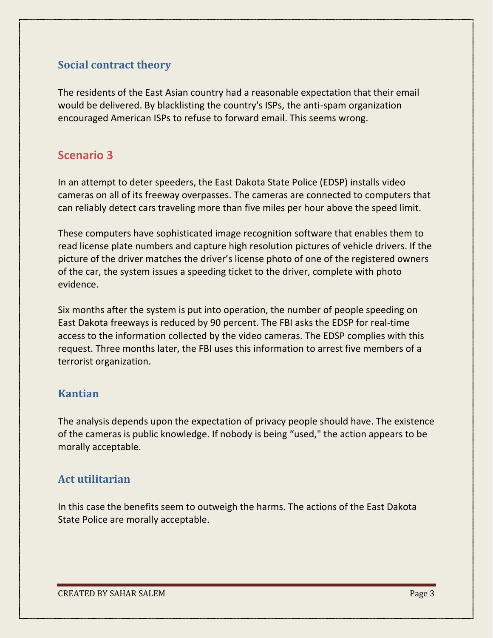### **Social contract theory**

The residents of the East Asian country had a reasonable expectation that their email would be delivered. By blacklisting the country's ISPs, the anti-spam organization encouraged American ISPs to refuse to forward email. This seems wrong.

# **Scenario 3**

In an attempt to deter speeders, the East Dakota State Police (EDSP) installs video cameras on all of its freeway overpasses. The cameras are connected to computers that can reliably detect cars traveling more than five miles per hour above the speed limit.

These computers have sophisticated image recognition software that enables them to read license plate numbers and capture high resolution pictures of vehicle drivers. If the picture of the driver matches the driver's license photo of one of the registered owners of the car, the system issues a speeding ticket to the driver, complete with photo evidence.

Six months after the system is put into operation, the number of people speeding on East Dakota freeways is reduced by 90 percent. The FBI asks the EDSP for real-time access to the information collected by the video cameras. The EDSP complies with this request. Three months later, the FBI uses this information to arrest five members of a terrorist organization.

#### **Kantian**

The analysis depends upon the expectation of privacy people should have. The existence of the cameras is public knowledge. If nobody is being "used," the action appears to be morally acceptable.

## **Act utilitarian**

In this case the benefits seem to outweigh the harms. The actions of the East Dakota State Police are morally acceptable.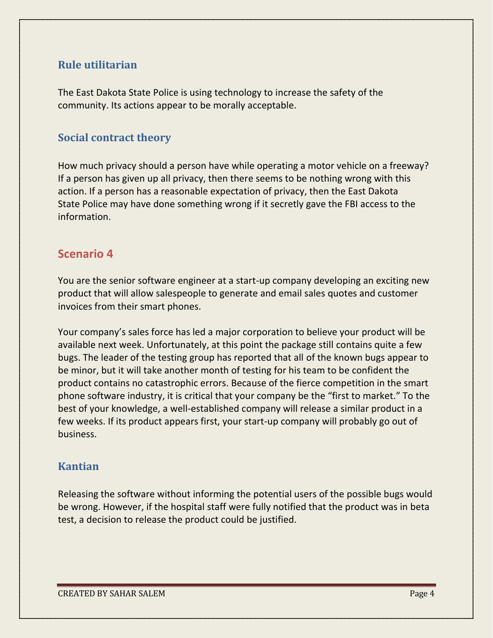### **Rule utilitarian**

The East Dakota State Police is using technology to increase the safety of the community. Its actions appear to be morally acceptable.

#### **Social contract theory**

How much privacy should a person have while operating a motor vehicle on a freeway? If a person has given up all privacy, then there seems to be nothing wrong with this action. If a person has a reasonable expectation of privacy, then the East Dakota State Police may have done something wrong if it secretly gave the FBI access to the information.

### **Scenario 4**

You are the senior software engineer at a start-up company developing an exciting new product that will allow salespeople to generate and email sales quotes and customer invoices from their smart phones.

Your company's sales force has led a major corporation to believe your product will be available next week. Unfortunately, at this point the package still contains quite a few bugs. The leader of the testing group has reported that all of the known bugs appear to be minor, but it will take another month of testing for his team to be confident the product contains no catastrophic errors. Because of the fierce competition in the smart phone software industry, it is critical that your company be the "first to market." To the best of your knowledge, a well-established company will release a similar product in a few weeks. If its product appears first, your start-up company will probably go out of business.

#### **Kantian**

Releasing the software without informing the potential users of the possible bugs would be wrong. However, if the hospital staff were fully notified that the product was in beta test, a decision to release the product could be justified.